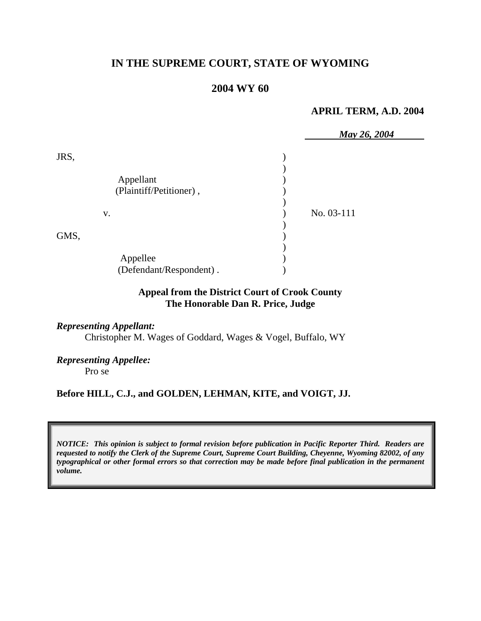# **IN THE SUPREME COURT, STATE OF WYOMING**

## **2004 WY 60**

#### **APRIL TERM, A.D. 2004**

|      |                         | May 26, 2004 |
|------|-------------------------|--------------|
| JRS, |                         |              |
|      |                         |              |
|      | Appellant               |              |
|      | (Plaintiff/Petitioner), |              |
|      |                         |              |
| v.   |                         | No. 03-111   |
|      |                         |              |
| GMS, |                         |              |
|      |                         |              |
|      | Appellee                |              |
|      | (Defendant/Respondent). |              |

## **Appeal from the District Court of Crook County The Honorable Dan R. Price, Judge**

#### *Representing Appellant:*

Christopher M. Wages of Goddard, Wages & Vogel, Buffalo, WY

### *Representing Appellee:*

Pro se

#### **Before HILL, C.J., and GOLDEN, LEHMAN, KITE, and VOIGT, JJ.**

*NOTICE: This opinion is subject to formal revision before publication in Pacific Reporter Third. Readers are requested to notify the Clerk of the Supreme Court, Supreme Court Building, Cheyenne, Wyoming 82002, of any typographical or other formal errors so that correction may be made before final publication in the permanent volume.*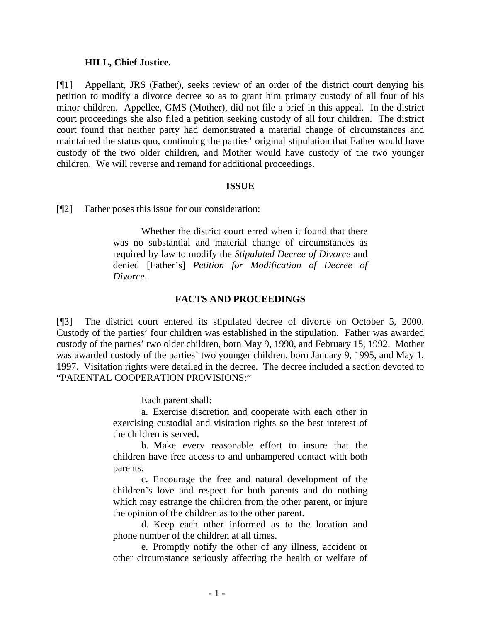#### **HILL, Chief Justice.**

[¶1] Appellant, JRS (Father), seeks review of an order of the district court denying his petition to modify a divorce decree so as to grant him primary custody of all four of his minor children. Appellee, GMS (Mother), did not file a brief in this appeal. In the district court proceedings she also filed a petition seeking custody of all four children. The district court found that neither party had demonstrated a material change of circumstances and maintained the status quo, continuing the parties' original stipulation that Father would have custody of the two older children, and Mother would have custody of the two younger children. We will reverse and remand for additional proceedings.

#### **ISSUE**

[¶2] Father poses this issue for our consideration:

Whether the district court erred when it found that there was no substantial and material change of circumstances as required by law to modify the *Stipulated Decree of Divorce* and denied [Father's] *Petition for Modification of Decree of Divorce*.

#### **FACTS AND PROCEEDINGS**

[¶3] The district court entered its stipulated decree of divorce on October 5, 2000. Custody of the parties' four children was established in the stipulation. Father was awarded custody of the parties' two older children, born May 9, 1990, and February 15, 1992. Mother was awarded custody of the parties' two younger children, born January 9, 1995, and May 1, 1997. Visitation rights were detailed in the decree. The decree included a section devoted to "PARENTAL COOPERATION PROVISIONS:"

Each parent shall:

a. Exercise discretion and cooperate with each other in exercising custodial and visitation rights so the best interest of the children is served.

b. Make every reasonable effort to insure that the children have free access to and unhampered contact with both parents.

c. Encourage the free and natural development of the children's love and respect for both parents and do nothing which may estrange the children from the other parent, or injure the opinion of the children as to the other parent.

d. Keep each other informed as to the location and phone number of the children at all times.

e. Promptly notify the other of any illness, accident or other circumstance seriously affecting the health or welfare of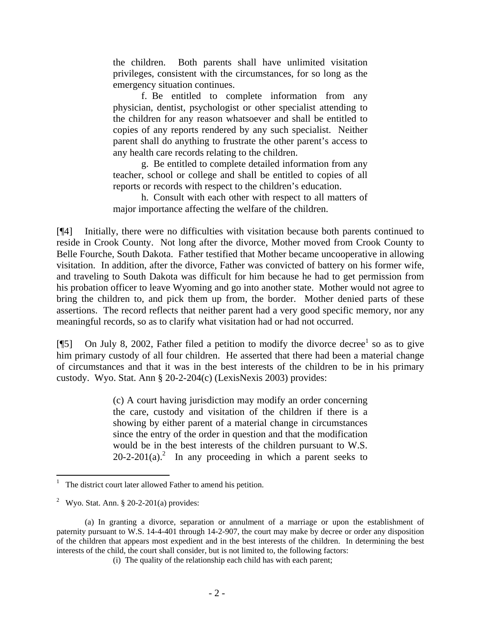the children. Both parents shall have unlimited visitation privileges, consistent with the circumstances, for so long as the emergency situation continues.

f. Be entitled to complete information from any physician, dentist, psychologist or other specialist attending to the children for any reason whatsoever and shall be entitled to copies of any reports rendered by any such specialist. Neither parent shall do anything to frustrate the other parent's access to any health care records relating to the children.

g. Be entitled to complete detailed information from any teacher, school or college and shall be entitled to copies of all reports or records with respect to the children's education.

h. Consult with each other with respect to all matters of major importance affecting the welfare of the children.

[¶4] Initially, there were no difficulties with visitation because both parents continued to reside in Crook County. Not long after the divorce, Mother moved from Crook County to Belle Fourche, South Dakota. Father testified that Mother became uncooperative in allowing visitation. In addition, after the divorce, Father was convicted of battery on his former wife, and traveling to South Dakota was difficult for him because he had to get permission from his probation officer to leave Wyoming and go into another state. Mother would not agree to bring the children to, and pick them up from, the border. Mother denied parts of these assertions. The record reflects that neither parent had a very good specific memory, nor any meaningful records, so as to clarify what visitation had or had not occurred.

[¶5] On July 8, 2002, Father filed a petition to modify the divorce decree<sup>1</sup> so as to give him primary custody of all four children. He asserted that there had been a material change of circumstances and that it was in the best interests of the children to be in his primary custody. Wyo. Stat. Ann § 20-2-204(c) (LexisNexis 2003) provides:

> (c) A court having jurisdiction may modify an order concerning the care, custody and visitation of the children if there is a showing by either parent of a material change in circumstances since the entry of the order in question and that the modification would be in the best interests of the children pursuant to W.S.  $20-2-201(a)$ .<sup>2</sup> In any proceeding in which a parent seeks to

<sup>1</sup> The district court later allowed Father to amend his petition.

<sup>&</sup>lt;sup>2</sup> Wyo. Stat. Ann. § 20-2-201(a) provides:

<sup>(</sup>a) In granting a divorce, separation or annulment of a marriage or upon the establishment of paternity pursuant to W.S. 14-4-401 through 14-2-907, the court may make by decree or order any disposition of the children that appears most expedient and in the best interests of the children. In determining the best interests of the child, the court shall consider, but is not limited to, the following factors:

<sup>(</sup>i) The quality of the relationship each child has with each parent;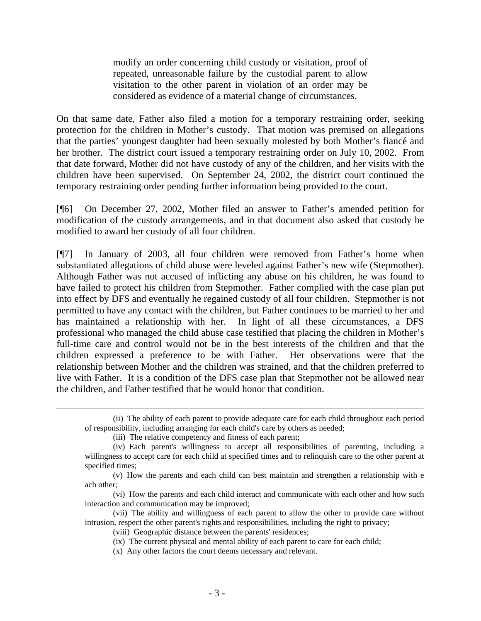modify an order concerning child custody or visitation, proof of repeated, unreasonable failure by the custodial parent to allow visitation to the other parent in violation of an order may be considered as evidence of a material change of circumstances.

On that same date, Father also filed a motion for a temporary restraining order, seeking protection for the children in Mother's custody. That motion was premised on allegations that the parties' youngest daughter had been sexually molested by both Mother's fiancé and her brother. The district court issued a temporary restraining order on July 10, 2002. From that date forward, Mother did not have custody of any of the children, and her visits with the children have been supervised. On September 24, 2002, the district court continued the temporary restraining order pending further information being provided to the court.

[¶6] On December 27, 2002, Mother filed an answer to Father's amended petition for modification of the custody arrangements, and in that document also asked that custody be modified to award her custody of all four children.

[¶7] In January of 2003, all four children were removed from Father's home when substantiated allegations of child abuse were leveled against Father's new wife (Stepmother). Although Father was not accused of inflicting any abuse on his children, he was found to have failed to protect his children from Stepmother. Father complied with the case plan put into effect by DFS and eventually he regained custody of all four children. Stepmother is not permitted to have any contact with the children, but Father continues to be married to her and has maintained a relationship with her. In light of all these circumstances, a DFS professional who managed the child abuse case testified that placing the children in Mother's full-time care and control would not be in the best interests of the children and that the children expressed a preference to be with Father. Her observations were that the relationship between Mother and the children was strained, and that the children preferred to live with Father. It is a condition of the DFS case plan that Stepmother not be allowed near the children, and Father testified that he would honor that condition.

 $\overline{a}$ 

<sup>(</sup>ii) The ability of each parent to provide adequate care for each child throughout each period of responsibility, including arranging for each child's care by others as needed;

<sup>(</sup>iii) The relative competency and fitness of each parent;

<sup>(</sup>iv) Each parent's willingness to accept all responsibilities of parenting, including a willingness to accept care for each child at specified times and to relinquish care to the other parent at specified times;

<sup>(</sup>v) How the parents and each child can best maintain and strengthen a relationship with e ach other;

<sup>(</sup>vi) How the parents and each child interact and communicate with each other and how such interaction and communication may be improved;

<sup>(</sup>vii) The ability and willingness of each parent to allow the other to provide care without intrusion, respect the other parent's rights and responsibilities, including the right to privacy;

<sup>(</sup>viii) Geographic distance between the parents' residences;

<sup>(</sup>ix) The current physical and mental ability of each parent to care for each child;

<sup>(</sup>x) Any other factors the court deems necessary and relevant.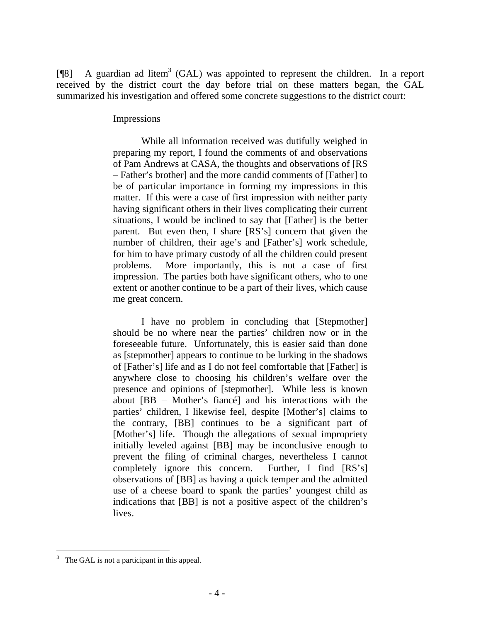[ $[$ [8] A guardian ad litem<sup>3</sup> (GAL) was appointed to represent the children. In a report received by the district court the day before trial on these matters began, the GAL summarized his investigation and offered some concrete suggestions to the district court:

#### Impressions

While all information received was dutifully weighed in preparing my report, I found the comments of and observations of Pam Andrews at CASA, the thoughts and observations of [RS – Father's brother] and the more candid comments of [Father] to be of particular importance in forming my impressions in this matter. If this were a case of first impression with neither party having significant others in their lives complicating their current situations, I would be inclined to say that [Father] is the better parent. But even then, I share [RS's] concern that given the number of children, their age's and [Father's] work schedule, for him to have primary custody of all the children could present problems. More importantly, this is not a case of first impression. The parties both have significant others, who to one extent or another continue to be a part of their lives, which cause me great concern.

I have no problem in concluding that [Stepmother] should be no where near the parties' children now or in the foreseeable future. Unfortunately, this is easier said than done as [stepmother] appears to continue to be lurking in the shadows of [Father's] life and as I do not feel comfortable that [Father] is anywhere close to choosing his children's welfare over the presence and opinions of [stepmother]. While less is known about [BB – Mother's fiancé] and his interactions with the parties' children, I likewise feel, despite [Mother's] claims to the contrary, [BB] continues to be a significant part of [Mother's] life. Though the allegations of sexual impropriety initially leveled against [BB] may be inconclusive enough to prevent the filing of criminal charges, nevertheless I cannot completely ignore this concern. Further, I find [RS's] observations of [BB] as having a quick temper and the admitted use of a cheese board to spank the parties' youngest child as indications that [BB] is not a positive aspect of the children's lives.

 $\overline{a}$ 

<sup>3</sup> The GAL is not a participant in this appeal.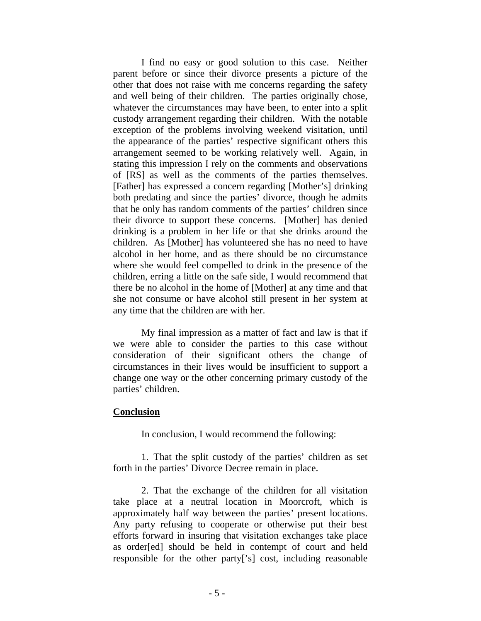I find no easy or good solution to this case. Neither parent before or since their divorce presents a picture of the other that does not raise with me concerns regarding the safety and well being of their children. The parties originally chose, whatever the circumstances may have been, to enter into a split custody arrangement regarding their children. With the notable exception of the problems involving weekend visitation, until the appearance of the parties' respective significant others this arrangement seemed to be working relatively well. Again, in stating this impression I rely on the comments and observations of [RS] as well as the comments of the parties themselves. [Father] has expressed a concern regarding [Mother's] drinking both predating and since the parties' divorce, though he admits that he only has random comments of the parties' children since their divorce to support these concerns. [Mother] has denied drinking is a problem in her life or that she drinks around the children. As [Mother] has volunteered she has no need to have alcohol in her home, and as there should be no circumstance where she would feel compelled to drink in the presence of the children, erring a little on the safe side, I would recommend that there be no alcohol in the home of [Mother] at any time and that she not consume or have alcohol still present in her system at any time that the children are with her.

My final impression as a matter of fact and law is that if we were able to consider the parties to this case without consideration of their significant others the change of circumstances in their lives would be insufficient to support a change one way or the other concerning primary custody of the parties' children.

#### **Conclusion**

In conclusion, I would recommend the following:

1. That the split custody of the parties' children as set forth in the parties' Divorce Decree remain in place.

2. That the exchange of the children for all visitation take place at a neutral location in Moorcroft, which is approximately half way between the parties' present locations. Any party refusing to cooperate or otherwise put their best efforts forward in insuring that visitation exchanges take place as order[ed] should be held in contempt of court and held responsible for the other party['s] cost, including reasonable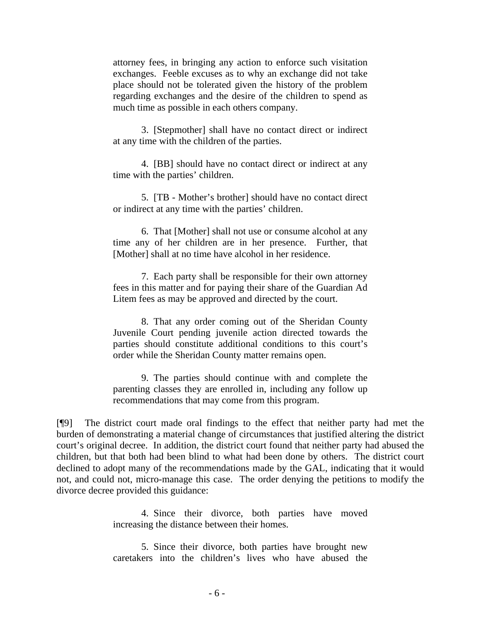attorney fees, in bringing any action to enforce such visitation exchanges. Feeble excuses as to why an exchange did not take place should not be tolerated given the history of the problem regarding exchanges and the desire of the children to spend as much time as possible in each others company.

 3. [Stepmother] shall have no contact direct or indirect at any time with the children of the parties.

4. [BB] should have no contact direct or indirect at any time with the parties' children.

5. [TB - Mother's brother] should have no contact direct or indirect at any time with the parties' children.

6. That [Mother] shall not use or consume alcohol at any time any of her children are in her presence. Further, that [Mother] shall at no time have alcohol in her residence.

7. Each party shall be responsible for their own attorney fees in this matter and for paying their share of the Guardian Ad Litem fees as may be approved and directed by the court.

8. That any order coming out of the Sheridan County Juvenile Court pending juvenile action directed towards the parties should constitute additional conditions to this court's order while the Sheridan County matter remains open.

9. The parties should continue with and complete the parenting classes they are enrolled in, including any follow up recommendations that may come from this program.

[¶9] The district court made oral findings to the effect that neither party had met the burden of demonstrating a material change of circumstances that justified altering the district court's original decree. In addition, the district court found that neither party had abused the children, but that both had been blind to what had been done by others. The district court declined to adopt many of the recommendations made by the GAL, indicating that it would not, and could not, micro-manage this case. The order denying the petitions to modify the divorce decree provided this guidance:

> 4. Since their divorce, both parties have moved increasing the distance between their homes.

> 5. Since their divorce, both parties have brought new caretakers into the children's lives who have abused the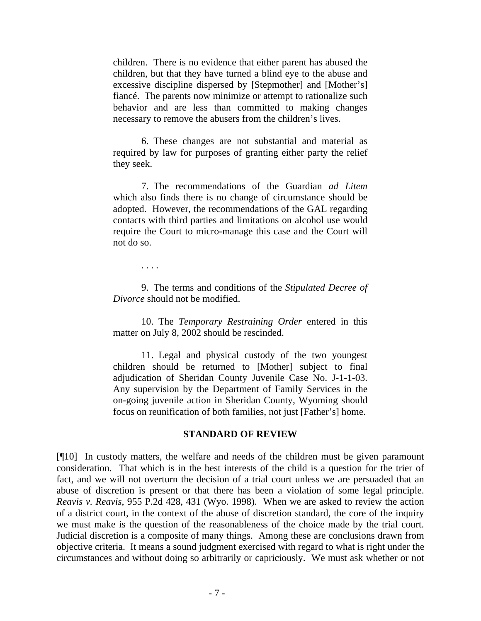children. There is no evidence that either parent has abused the children, but that they have turned a blind eye to the abuse and excessive discipline dispersed by [Stepmother] and [Mother's] fiancé. The parents now minimize or attempt to rationalize such behavior and are less than committed to making changes necessary to remove the abusers from the children's lives.

6. These changes are not substantial and material as required by law for purposes of granting either party the relief they seek.

7. The recommendations of the Guardian *ad Litem* which also finds there is no change of circumstance should be adopted. However, the recommendations of the GAL regarding contacts with third parties and limitations on alcohol use would require the Court to micro-manage this case and the Court will not do so.

. . . .

9. The terms and conditions of the *Stipulated Decree of Divorce* should not be modified.

10. The *Temporary Restraining Order* entered in this matter on July 8, 2002 should be rescinded.

11. Legal and physical custody of the two youngest children should be returned to [Mother] subject to final adjudication of Sheridan County Juvenile Case No. J-1-1-03. Any supervision by the Department of Family Services in the on-going juvenile action in Sheridan County, Wyoming should focus on reunification of both families, not just [Father's] home.

#### **STANDARD OF REVIEW**

[¶10] In custody matters, the welfare and needs of the children must be given paramount consideration. That which is in the best interests of the child is a question for the trier of fact, and we will not overturn the decision of a trial court unless we are persuaded that an abuse of discretion is present or that there has been a violation of some legal principle. *Reavis v. Reavis*, 955 P.2d 428, 431 (Wyo. 1998). When we are asked to review the action of a district court, in the context of the abuse of discretion standard, the core of the inquiry we must make is the question of the reasonableness of the choice made by the trial court. Judicial discretion is a composite of many things. Among these are conclusions drawn from objective criteria. It means a sound judgment exercised with regard to what is right under the circumstances and without doing so arbitrarily or capriciously. We must ask whether or not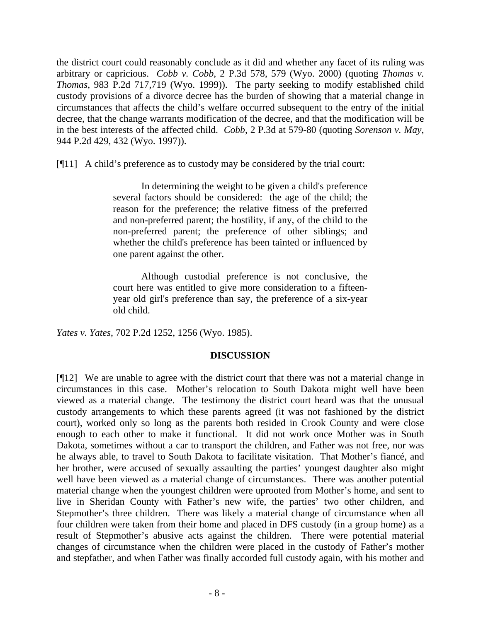the district court could reasonably conclude as it did and whether any facet of its ruling was arbitrary or capricious. *Cobb v. Cobb*, 2 P.3d 578, 579 (Wyo. 2000) (quoting *Thomas v. Thomas*, 983 P.2d 717,719 (Wyo. 1999)). The party seeking to modify established child custody provisions of a divorce decree has the burden of showing that a material change in circumstances that affects the child's welfare occurred subsequent to the entry of the initial decree, that the change warrants modification of the decree, and that the modification will be in the best interests of the affected child. *Cobb*, 2 P.3d at 579-80 (quoting *Sorenson v. May*, 944 P.2d 429, 432 (Wyo. 1997)).

[¶11] A child's preference as to custody may be considered by the trial court:

In determining the weight to be given a child's preference several factors should be considered: the age of the child; the reason for the preference; the relative fitness of the preferred and non-preferred parent; the hostility, if any, of the child to the non-preferred parent; the preference of other siblings; and whether the child's preference has been tainted or influenced by one parent against the other.

Although custodial preference is not conclusive, the court here was entitled to give more consideration to a fifteenyear old girl's preference than say, the preference of a six-year old child.

*Yates v. Yates*, 702 P.2d 1252, 1256 (Wyo. 1985).

## **DISCUSSION**

[¶12] We are unable to agree with the district court that there was not a material change in circumstances in this case. Mother's relocation to South Dakota might well have been viewed as a material change. The testimony the district court heard was that the unusual custody arrangements to which these parents agreed (it was not fashioned by the district court), worked only so long as the parents both resided in Crook County and were close enough to each other to make it functional. It did not work once Mother was in South Dakota, sometimes without a car to transport the children, and Father was not free, nor was he always able, to travel to South Dakota to facilitate visitation. That Mother's fiancé, and her brother, were accused of sexually assaulting the parties' youngest daughter also might well have been viewed as a material change of circumstances. There was another potential material change when the youngest children were uprooted from Mother's home, and sent to live in Sheridan County with Father's new wife, the parties' two other children, and Stepmother's three children. There was likely a material change of circumstance when all four children were taken from their home and placed in DFS custody (in a group home) as a result of Stepmother's abusive acts against the children. There were potential material changes of circumstance when the children were placed in the custody of Father's mother and stepfather, and when Father was finally accorded full custody again, with his mother and